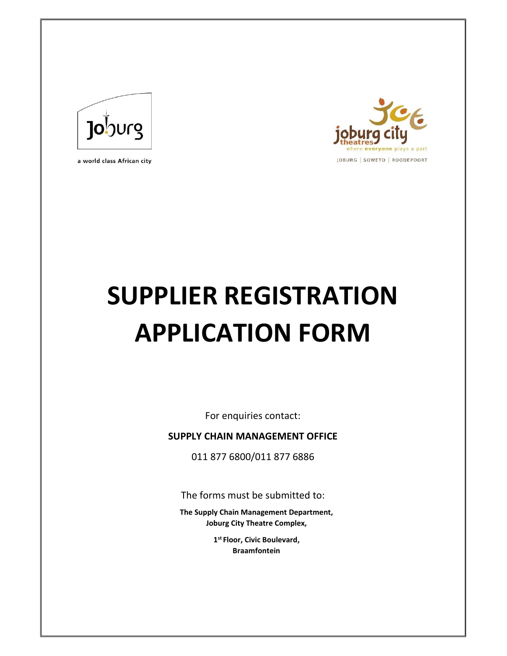

a world class African city



# **SUPPLIER REGISTRATION APPLICATION FORM**

For enquiries contact:

**SUPPLY CHAIN MANAGEMENT OFFICE** 

011 877 6800/011 877 6886

The forms must be submitted to:

**The Supply Chain Management Department, Joburg City Theatre Complex,** 

> **1 st Floor, Civic Boulevard, Braamfontein**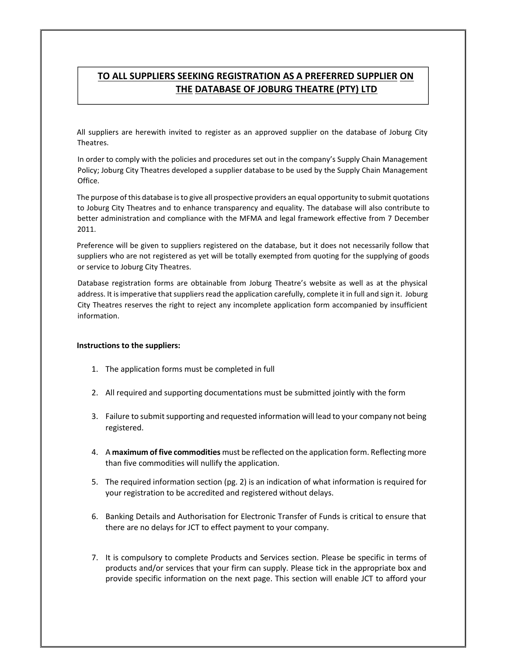# **TO ALL SUPPLIERS SEEKING REGISTRATION AS A PREFERRED SUPPLIER ON THE DATABASE OF JOBURG THEATRE (PTY) LTD**

All suppliers are herewith invited to register as an approved supplier on the database of Joburg City Theatres.

In order to comply with the policies and procedures set out in the company's Supply Chain Management Policy; Joburg City Theatres developed a supplier database to be used by the Supply Chain Management Office.

The purpose of this database is to give all prospective providers an equal opportunity to submit quotations to Joburg City Theatres and to enhance transparency and equality. The database will also contribute to better administration and compliance with the MFMA and legal framework effective from 7 December 2011.

Preference will be given to suppliers registered on the database, but it does not necessarily follow that suppliers who are not registered as yet will be totally exempted from quoting for the supplying of goods or service to Joburg City Theatres.

Database registration forms are obtainable from Joburg Theatre's website as well as at the physical address. It is imperative that suppliers read the application carefully, complete it in full and sign it. Joburg City Theatres reserves the right to reject any incomplete application form accompanied by insufficient information.

#### **Instructions to the suppliers:**

- 1. The application forms must be completed in full
- 2. All required and supporting documentations must be submitted jointly with the form
- 3. Failure to submit supporting and requested information will lead to your company not being registered.
- 4. A **maximum of five commodities** must be reflected on the application form. Reflecting more than five commodities will nullify the application.
- 5. The required information section (pg. 2) is an indication of what information is required for your registration to be accredited and registered without delays.
- 6. Banking Details and Authorisation for Electronic Transfer of Funds is critical to ensure that there are no delays for JCT to effect payment to your company.
- 7. It is compulsory to complete Products and Services section. Please be specific in terms of products and/or services that your firm can supply. Please tick in the appropriate box and provide specific information on the next page. This section will enable JCT to afford your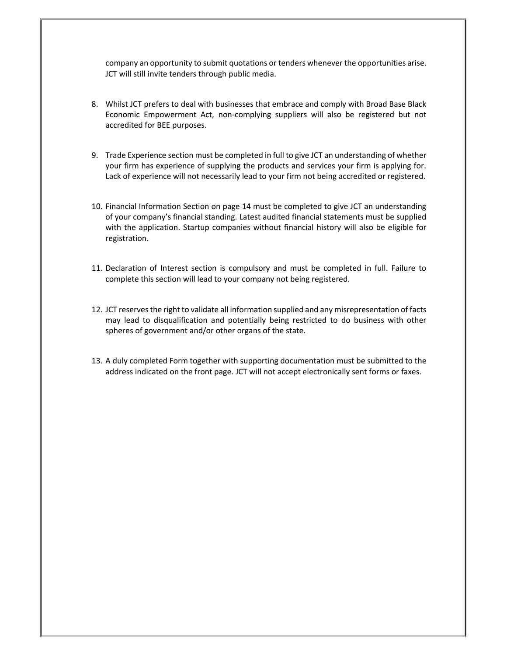company an opportunity to submit quotations or tenders whenever the opportunities arise. JCT will still invite tenders through public media.

- 8. Whilst JCT prefers to deal with businesses that embrace and comply with Broad Base Black Economic Empowerment Act, non-complying suppliers will also be registered but not accredited for BEE purposes.
- 9. Trade Experience section must be completed in full to give JCT an understanding of whether your firm has experience of supplying the products and services your firm is applying for. Lack of experience will not necessarily lead to your firm not being accredited or registered.
- 10. Financial Information Section on page 14 must be completed to give JCT an understanding of your company's financial standing. Latest audited financial statements must be supplied with the application. Startup companies without financial history will also be eligible for registration.
- 11. Declaration of Interest section is compulsory and must be completed in full. Failure to complete this section will lead to your company not being registered.
- 12. JCT reserves the right to validate all information supplied and any misrepresentation of facts may lead to disqualification and potentially being restricted to do business with other spheres of government and/or other organs of the state.
- 13. A duly completed Form together with supporting documentation must be submitted to the address indicated on the front page. JCT will not accept electronically sent forms or faxes.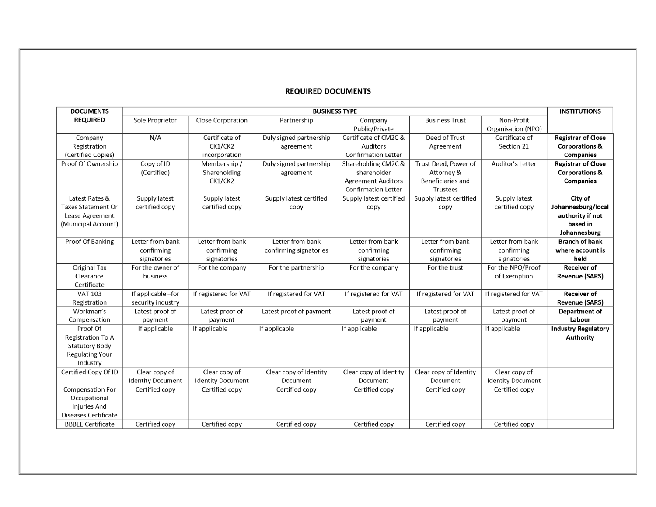### **REQUIRED DOCUMENTS**

| <b>DOCUMENTS</b>         | <b>BUSINESS TYPE</b>     |                          |                         |                            |                         |                          |                            |  |  |
|--------------------------|--------------------------|--------------------------|-------------------------|----------------------------|-------------------------|--------------------------|----------------------------|--|--|
| <b>REQUIRED</b>          | Sole Proprietor          | <b>Close Corporation</b> | Partnership             | Company                    | <b>Business Trust</b>   | Non-Profit               |                            |  |  |
|                          |                          |                          |                         | Public/Private             |                         | Organisation (NPO)       |                            |  |  |
| Company                  | N/A                      | Certificate of           | Duly signed partnership | Certificate of CM2C &      | Deed of Trust           | Certificate of           | <b>Registrar of Close</b>  |  |  |
| Registration             |                          | CK1/CK2                  | agreement               | Auditors                   | Agreement               | Section 21               | <b>Corporations &amp;</b>  |  |  |
| (Certified Copies)       |                          | incorporation            |                         | <b>Confirmation Letter</b> |                         |                          | <b>Companies</b>           |  |  |
| Proof Of Ownership       | Copy of ID               | Membership /             | Duly signed partnership | Shareholding CM2C &        | Trust Deed, Power of    | Auditor's Letter         | <b>Registrar of Close</b>  |  |  |
|                          | (Certified)              | Shareholding             | agreement               | shareholder                | Attorney &              |                          | <b>Corporations &amp;</b>  |  |  |
|                          |                          | CK1/CK2                  |                         | <b>Agreement Auditors</b>  | Beneficiaries and       |                          | <b>Companies</b>           |  |  |
|                          |                          |                          |                         | <b>Confirmation Letter</b> | <b>Trustees</b>         |                          |                            |  |  |
| Latest Rates &           | Supply latest            | Supply latest            | Supply latest certified | Supply latest certified    | Supply latest certified | Supply latest            | City of                    |  |  |
| Taxes Statement Or       | certified copy           | certified copy           | copy                    | copy                       | copy                    | certified copy           | Johannesburg/local         |  |  |
| Lease Agreement          |                          |                          |                         |                            |                         |                          | authority if not           |  |  |
| (Municipal Account)      |                          |                          |                         |                            |                         |                          | based in                   |  |  |
|                          |                          |                          |                         |                            |                         |                          | Johannesburg               |  |  |
| Proof Of Banking         | Letter from bank         | Letter from bank         | Letter from bank        | Letter from bank           | Letter from bank        | Letter from bank         | <b>Branch of bank</b>      |  |  |
|                          | confirming               | confirming               | confirming signatories  | confirming                 | confirming              | confirming               | where account is           |  |  |
|                          | signatories              | signatories              |                         | signatories                | signatories             | signatories              | held                       |  |  |
| <b>Original Tax</b>      | For the owner of         | For the company          | For the partnership     | For the company            | For the trust           | For the NPO/Proof        | <b>Receiver of</b>         |  |  |
| Clearance                | business                 |                          |                         |                            |                         | of Exemption             | <b>Revenue (SARS)</b>      |  |  |
| Certificate              |                          |                          |                         |                            |                         |                          |                            |  |  |
| <b>VAT 103</b>           | If applicable -for       | If registered for VAT    | If registered for VAT   | If registered for VAT      | If registered for VAT   | If registered for VAT    | <b>Receiver of</b>         |  |  |
| Registration             | security industry        |                          |                         |                            |                         |                          | <b>Revenue (SARS)</b>      |  |  |
| Workman's                | Latest proof of          | Latest proof of          | Latest proof of payment | Latest proof of            | Latest proof of         | Latest proof of          | Department of              |  |  |
| Compensation             | payment                  | payment                  |                         | payment                    | payment                 | payment                  | Labour                     |  |  |
| Proof Of                 | If applicable            | If applicable            | If applicable           | If applicable              | If applicable           | If applicable            | <b>Industry Regulatory</b> |  |  |
| <b>Registration To A</b> |                          |                          |                         |                            |                         |                          | <b>Authority</b>           |  |  |
| <b>Statutory Body</b>    |                          |                          |                         |                            |                         |                          |                            |  |  |
| <b>Regulating Your</b>   |                          |                          |                         |                            |                         |                          |                            |  |  |
| Industry                 |                          |                          |                         |                            |                         |                          |                            |  |  |
| Certified Copy Of ID     | Clear copy of            | Clear copy of            | Clear copy of Identity  | Clear copy of Identity     | Clear copy of Identity  | Clear copy of            |                            |  |  |
|                          | <b>Identity Document</b> | <b>Identity Document</b> | Document                | Document                   | Document                | <b>Identity Document</b> |                            |  |  |
| <b>Compensation For</b>  | Certified copy           | Certified copy           | Certified copy          | Certified copy             | Certified copy          | Certified copy           |                            |  |  |
| Occupational             |                          |                          |                         |                            |                         |                          |                            |  |  |
| <b>Injuries And</b>      |                          |                          |                         |                            |                         |                          |                            |  |  |
| Diseases Certificate     |                          |                          |                         |                            |                         |                          |                            |  |  |
| <b>BBBEE Certificate</b> | Certified copy           | Certified copy           | Certified copy          | Certified copy             | Certified copy          | Certified copy           |                            |  |  |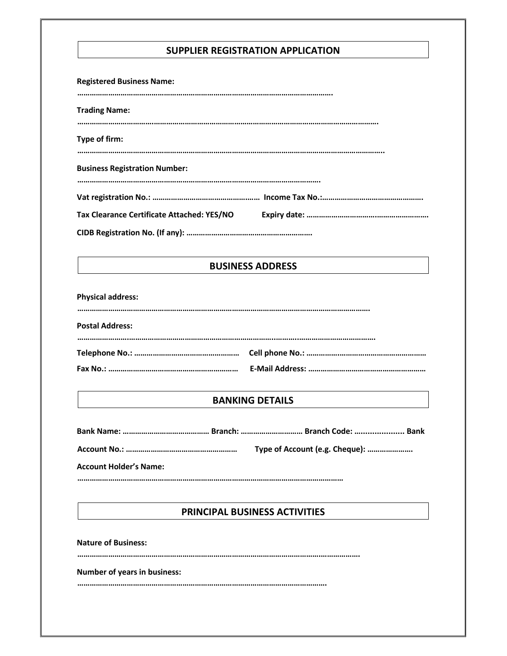## **SUPPLIER REGISTRATION APPLICATION**

| <b>Registered Business Name:</b>           |  |
|--------------------------------------------|--|
| <b>Trading Name:</b>                       |  |
| Type of firm:                              |  |
| <b>Business Registration Number:</b>       |  |
|                                            |  |
| Tax Clearance Certificate Attached: YES/NO |  |
|                                            |  |

## **BUSINESS ADDRESS**

**Physical address:** 

| <b>Postal Address:</b> |  |
|------------------------|--|
|                        |  |
|                        |  |
|                        |  |

## **BANKING DETAILS**

|                               | Type of Account (e.g. Cheque): |  |
|-------------------------------|--------------------------------|--|
| <b>Account Holder's Name:</b> |                                |  |

**…………………………………………………………………………………………………………………** 

# **PRINCIPAL BUSINESS ACTIVITIES**

**Nature of Business:** 

**……………………………………………………………………………………………………….……………….** 

#### **Number of years in business:**

**………………………………………………………………………………………………………….**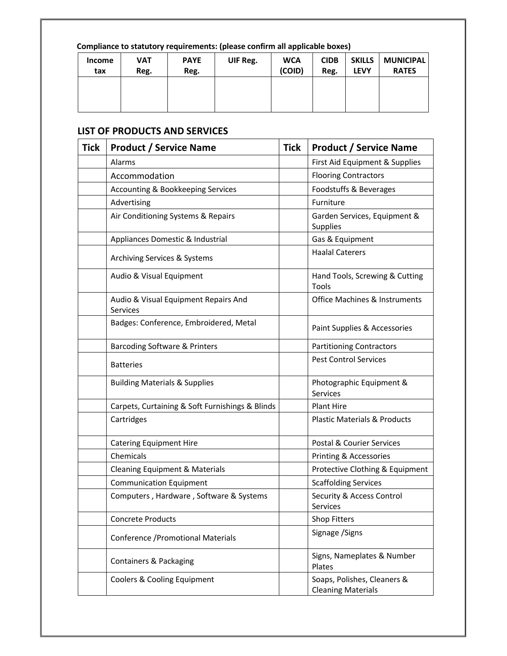# **Compliance to statutory requirements: (please confirm all applicable boxes)**

| <b>Income</b> | <b>VAT</b> | <b>PAYE</b> | UIF Reg. | <b>WCA</b> | <b>CIDB</b> | <b>SKILLS</b> | <b>MUNICIPAL</b> |
|---------------|------------|-------------|----------|------------|-------------|---------------|------------------|
| tax           | Reg.       | Reg.        |          | (COID)     | Reg.        | <b>LEVY</b>   | <b>RATES</b>     |
|               |            |             |          |            |             |               |                  |

# **LIST OF PRODUCTS AND SERVICES**

| <b>Tick</b> | <b>Product / Service Name</b>                    | <b>Tick</b> | <b>Product / Service Name</b>                            |
|-------------|--------------------------------------------------|-------------|----------------------------------------------------------|
|             | Alarms                                           |             | First Aid Equipment & Supplies                           |
|             | Accommodation                                    |             | <b>Flooring Contractors</b>                              |
|             | Accounting & Bookkeeping Services                |             | Foodstuffs & Beverages                                   |
|             | Advertising                                      |             | Furniture                                                |
|             | Air Conditioning Systems & Repairs               |             | Garden Services, Equipment &<br>Supplies                 |
|             | Appliances Domestic & Industrial                 |             | Gas & Equipment                                          |
|             | Archiving Services & Systems                     |             | <b>Haalal Caterers</b>                                   |
|             | Audio & Visual Equipment                         |             | Hand Tools, Screwing & Cutting<br>Tools                  |
|             | Audio & Visual Equipment Repairs And<br>Services |             | <b>Office Machines &amp; Instruments</b>                 |
|             | Badges: Conference, Embroidered, Metal           |             | Paint Supplies & Accessories                             |
|             | Barcoding Software & Printers                    |             | <b>Partitioning Contractors</b>                          |
|             | <b>Batteries</b>                                 |             | <b>Pest Control Services</b>                             |
|             | <b>Building Materials &amp; Supplies</b>         |             | Photographic Equipment &<br>Services                     |
|             | Carpets, Curtaining & Soft Furnishings & Blinds  |             | <b>Plant Hire</b>                                        |
|             | Cartridges                                       |             | <b>Plastic Materials &amp; Products</b>                  |
|             | <b>Catering Equipment Hire</b>                   |             | Postal & Courier Services                                |
|             | Chemicals                                        |             | Printing & Accessories                                   |
|             | <b>Cleaning Equipment &amp; Materials</b>        |             | Protective Clothing & Equipment                          |
|             | <b>Communication Equipment</b>                   |             | <b>Scaffolding Services</b>                              |
|             | Computers, Hardware, Software & Systems          |             | Security & Access Control<br>Services                    |
|             | <b>Concrete Products</b>                         |             | <b>Shop Fitters</b>                                      |
|             | Conference / Promotional Materials               |             | Signage / Signs                                          |
|             | <b>Containers &amp; Packaging</b>                |             | Signs, Nameplates & Number<br>Plates                     |
|             | Coolers & Cooling Equipment                      |             | Soaps, Polishes, Cleaners &<br><b>Cleaning Materials</b> |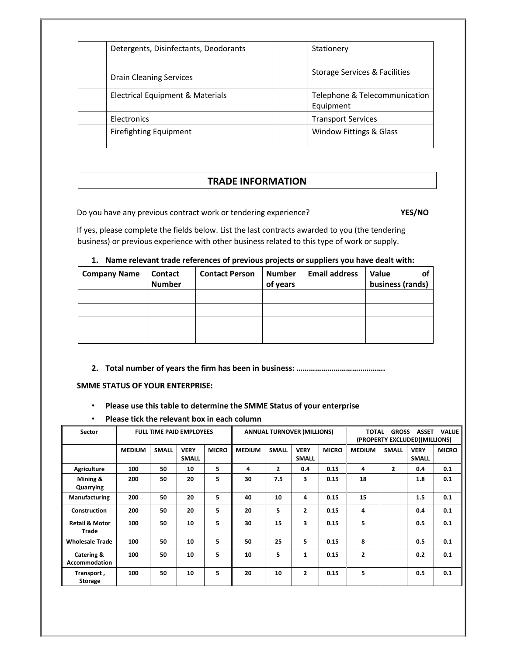| Detergents, Disinfectants, Deodorants | Stationery                                 |
|---------------------------------------|--------------------------------------------|
| <b>Drain Cleaning Services</b>        | Storage Services & Facilities              |
| Electrical Equipment & Materials      | Telephone & Telecommunication<br>Equipment |
| Electronics                           | <b>Transport Services</b>                  |
| <b>Firefighting Equipment</b>         | <b>Window Fittings &amp; Glass</b>         |

## **TRADE INFORMATION**

Do you have any previous contract work or tendering experience? **YES/NO** 

If yes, please complete the fields below. List the last contracts awarded to you (the tendering business) or previous experience with other business related to this type of work or supply.

### **1. Name relevant trade references of previous projects or suppliers you have dealt with:**

| <b>Company Name</b> | <b>Contact</b><br><b>Number</b> | <b>Contact Person</b> | <b>Number</b><br>of years | <b>Email address</b> | <b>Value</b><br>business (rands) |
|---------------------|---------------------------------|-----------------------|---------------------------|----------------------|----------------------------------|
|                     |                                 |                       |                           |                      |                                  |
|                     |                                 |                       |                           |                      |                                  |
|                     |                                 |                       |                           |                      |                                  |
|                     |                                 |                       |                           |                      |                                  |

## **2. Total number of years the firm has been in business: …………………………………….**

### **SMME STATUS OF YOUR ENTERPRISE:**

- **Please use this table to determine the SMME Status of your enterprise**
- **Please tick the relevant box in each column**

| Sector                             | <b>FULL TIME PAID EMPLOYEES</b> |              |                             |              | <b>ANNUAL TURNOVER (MILLIONS)</b> |                |                             |              | <b>TOTAL</b><br><b>GROSS</b><br><b>ASSET</b><br><b>VALUE</b><br>(PROPERTY EXCLUDED)(MILLIONS) |                |                             |              |
|------------------------------------|---------------------------------|--------------|-----------------------------|--------------|-----------------------------------|----------------|-----------------------------|--------------|-----------------------------------------------------------------------------------------------|----------------|-----------------------------|--------------|
|                                    | <b>MEDIUM</b>                   | <b>SMALL</b> | <b>VERY</b><br><b>SMALL</b> | <b>MICRO</b> | <b>MEDIUM</b>                     | <b>SMALL</b>   | <b>VERY</b><br><b>SMALL</b> | <b>MICRO</b> | <b>MEDIUM</b>                                                                                 | <b>SMALL</b>   | <b>VERY</b><br><b>SMALL</b> | <b>MICRO</b> |
| <b>Agriculture</b>                 | 100                             | 50           | 10                          | 5            | 4                                 | $\overline{2}$ | 0.4                         | 0.15         | 4                                                                                             | $\overline{2}$ | 0.4                         | 0.1          |
| Mining &<br>Quarrying              | 200                             | 50           | 20                          | 5            | 30                                | 7.5            | 3                           | 0.15         | 18                                                                                            |                | 1.8                         | 0.1          |
| <b>Manufacturing</b>               | 200                             | 50           | 20                          | 5            | 40                                | 10             | 4                           | 0.15         | 15                                                                                            |                | 1.5                         | 0.1          |
| Construction                       | 200                             | 50           | 20                          | 5            | 20                                | 5              | $\mathbf{2}$                | 0.15         | 4                                                                                             |                | 0.4                         | 0.1          |
| <b>Retail &amp; Motor</b><br>Trade | 100                             | 50           | 10                          | 5            | 30                                | 15             | 3                           | 0.15         | 5                                                                                             |                | 0.5                         | 0.1          |
| <b>Wholesale Trade</b>             | 100                             | 50           | 10                          | 5            | 50                                | 25             | 5                           | 0.15         | 8                                                                                             |                | 0.5                         | 0.1          |
| Catering &<br>Accommodation        | 100                             | 50           | 10                          | 5            | 10                                | 5              | 1                           | 0.15         | $\overline{2}$                                                                                |                | 0.2                         | 0.1          |
| Transport,<br>Storage              | 100                             | 50           | 10                          | 5            | 20                                | 10             | $\mathbf{2}$                | 0.15         | 5                                                                                             |                | 0.5                         | 0.1          |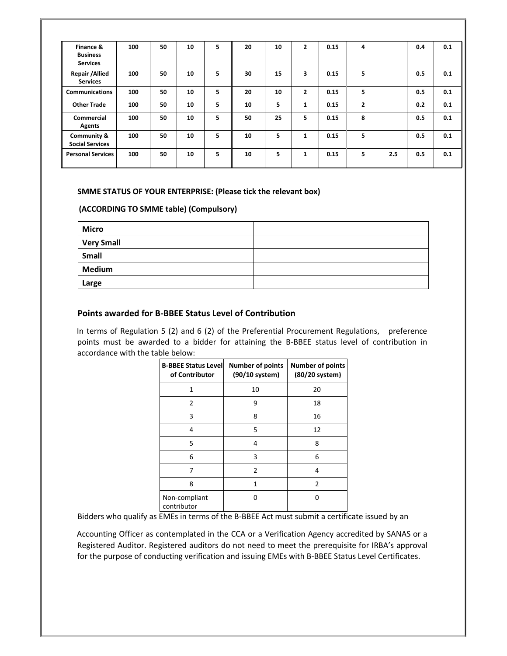| Finance &<br><b>Business</b><br><b>Services</b>  | 100 | 50 | 10 | 5 | 20 | 10 | $\overline{2}$ | 0.15 | 4            |     | 0.4 | 0.1 |
|--------------------------------------------------|-----|----|----|---|----|----|----------------|------|--------------|-----|-----|-----|
| Repair / Allied<br><b>Services</b>               | 100 | 50 | 10 | 5 | 30 | 15 | 3              | 0.15 | 5            |     | 0.5 | 0.1 |
| <b>Communications</b>                            | 100 | 50 | 10 | 5 | 20 | 10 | $\overline{2}$ | 0.15 | 5            |     | 0.5 | 0.1 |
| <b>Other Trade</b>                               | 100 | 50 | 10 | 5 | 10 | 5  | $\mathbf{1}$   | 0.15 | $\mathbf{2}$ |     | 0.2 | 0.1 |
| <b>Commercial</b><br>Agents                      | 100 | 50 | 10 | 5 | 50 | 25 | 5              | 0.15 | 8            |     | 0.5 | 0.1 |
| <b>Community &amp;</b><br><b>Social Services</b> | 100 | 50 | 10 | 5 | 10 | 5  | 1              | 0.15 | 5            |     | 0.5 | 0.1 |
| <b>Personal Services</b>                         | 100 | 50 | 10 | 5 | 10 | 5  | 1              | 0.15 | 5            | 2.5 | 0.5 | 0.1 |

#### **SMME STATUS OF YOUR ENTERPRISE: (Please tick the relevant box)**

### **(ACCORDING TO SMME table) (Compulsory)**

| <b>Micro</b>      |  |
|-------------------|--|
| <b>Very Small</b> |  |
| Small             |  |
| <b>Medium</b>     |  |
| Large             |  |

## **Points awarded for B-BBEE Status Level of Contribution**

In terms of Regulation 5 (2) and 6 (2) of the Preferential Procurement Regulations, preference points must be awarded to a bidder for attaining the B-BBEE status level of contribution in accordance with the table below:

| <b>B-BBEE Status Level</b><br>of Contributor | <b>Number of points</b><br>(90/10 system) | <b>Number of points</b><br>(80/20 system) |
|----------------------------------------------|-------------------------------------------|-------------------------------------------|
| 1                                            | 10                                        | 20                                        |
| $\overline{2}$                               | 9                                         | 18                                        |
| 3                                            | 8                                         | 16                                        |
| 4                                            | 5                                         | 12                                        |
| 5                                            | 4                                         | 8                                         |
| 6                                            | 3                                         | 6                                         |
| 7                                            | 2                                         | 4                                         |
| 8                                            | 1                                         | 2                                         |
| Non-compliant<br>contributor                 | n                                         |                                           |

Bidders who qualify as EMEs in terms of the B-BBEE Act must submit a certificate issued by an

Accounting Officer as contemplated in the CCA or a Verification Agency accredited by SANAS or a Registered Auditor. Registered auditors do not need to meet the prerequisite for IRBA's approval for the purpose of conducting verification and issuing EMEs with B-BBEE Status Level Certificates.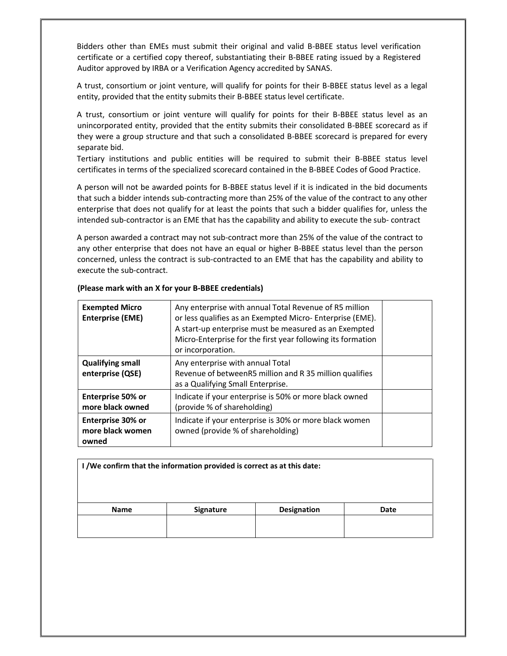Bidders other than EMEs must submit their original and valid B-BBEE status level verification certificate or a certified copy thereof, substantiating their B-BBEE rating issued by a Registered Auditor approved by IRBA or a Verification Agency accredited by SANAS.

A trust, consortium or joint venture, will qualify for points for their B-BBEE status level as a legal entity, provided that the entity submits their B-BBEE status level certificate.

A trust, consortium or joint venture will qualify for points for their B-BBEE status level as an unincorporated entity, provided that the entity submits their consolidated B-BBEE scorecard as if they were a group structure and that such a consolidated B-BBEE scorecard is prepared for every separate bid.

Tertiary institutions and public entities will be required to submit their B-BBEE status level certificates in terms of the specialized scorecard contained in the B-BBEE Codes of Good Practice.

A person will not be awarded points for B-BBEE status level if it is indicated in the bid documents that such a bidder intends sub-contracting more than 25% of the value of the contract to any other enterprise that does not qualify for at least the points that such a bidder qualifies for, unless the intended sub-contractor is an EME that has the capability and ability to execute the sub- contract

A person awarded a contract may not sub-contract more than 25% of the value of the contract to any other enterprise that does not have an equal or higher B-BBEE status level than the person concerned, unless the contract is sub-contracted to an EME that has the capability and ability to execute the sub-contract.

| <b>Exempted Micro</b><br><b>Enterprise (EME)</b> | Any enterprise with annual Total Revenue of R5 million<br>or less qualifies as an Exempted Micro-Enterprise (EME).<br>A start-up enterprise must be measured as an Exempted<br>Micro-Enterprise for the first year following its formation<br>or incorporation. |  |
|--------------------------------------------------|-----------------------------------------------------------------------------------------------------------------------------------------------------------------------------------------------------------------------------------------------------------------|--|
| <b>Qualifying small</b><br>enterprise (QSE)      | Any enterprise with annual Total<br>Revenue of betweenR5 million and R 35 million qualifies<br>as a Qualifying Small Enterprise.                                                                                                                                |  |
| <b>Enterprise 50% or</b><br>more black owned     | Indicate if your enterprise is 50% or more black owned<br>(provide % of shareholding)                                                                                                                                                                           |  |
| Enterprise 30% or<br>more black women<br>owned   | Indicate if your enterprise is 30% or more black women<br>owned (provide % of shareholding)                                                                                                                                                                     |  |

#### **(Please mark with an X for your B-BBEE credentials)**

| I /We confirm that the information provided is correct as at this date: |           |                    |      |  |  |
|-------------------------------------------------------------------------|-----------|--------------------|------|--|--|
| <b>Name</b>                                                             | Signature | <b>Designation</b> | Date |  |  |
|                                                                         |           |                    |      |  |  |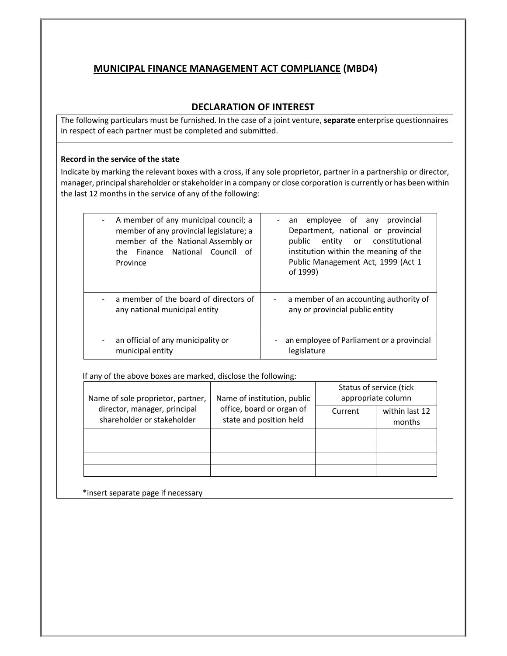## **MUNICIPAL FINANCE MANAGEMENT ACT COMPLIANCE (MBD4)**

## **DECLARATION OF INTEREST**

The following particulars must be furnished. In the case of a joint venture, **separate** enterprise questionnaires in respect of each partner must be completed and submitted.

#### **Record in the service of the state**

Indicate by marking the relevant boxes with a cross, if any sole proprietor, partner in a partnership or director, manager, principal shareholder or stakeholder in a company or close corporation is currently or has been within the last 12 months in the service of any of the following:

| A member of any municipal council; a<br>member of any provincial legislature; a<br>member of the National Assembly or<br>the Finance National Council of<br>Province | an employee of any provincial<br>Department, national or provincial<br>public entity or constitutional<br>institution within the meaning of the<br>Public Management Act, 1999 (Act 1<br>of 1999) |
|----------------------------------------------------------------------------------------------------------------------------------------------------------------------|---------------------------------------------------------------------------------------------------------------------------------------------------------------------------------------------------|
| a member of the board of directors of<br>any national municipal entity                                                                                               | a member of an accounting authority of<br>$\blacksquare$<br>any or provincial public entity                                                                                                       |
| an official of any municipality or<br>$\overline{\phantom{0}}$<br>municipal entity                                                                                   | an employee of Parliament or a provincial<br>legislature                                                                                                                                          |

If any of the above boxes are marked, disclose the following:

| Name of sole proprietor, partner,                          | Name of institution, public                          | Status of service (tick<br>appropriate column |                          |  |
|------------------------------------------------------------|------------------------------------------------------|-----------------------------------------------|--------------------------|--|
| director, manager, principal<br>shareholder or stakeholder | office, board or organ of<br>state and position held | Current                                       | within last 12<br>months |  |
|                                                            |                                                      |                                               |                          |  |
|                                                            |                                                      |                                               |                          |  |
|                                                            |                                                      |                                               |                          |  |
|                                                            |                                                      |                                               |                          |  |

\*insert separate page if necessary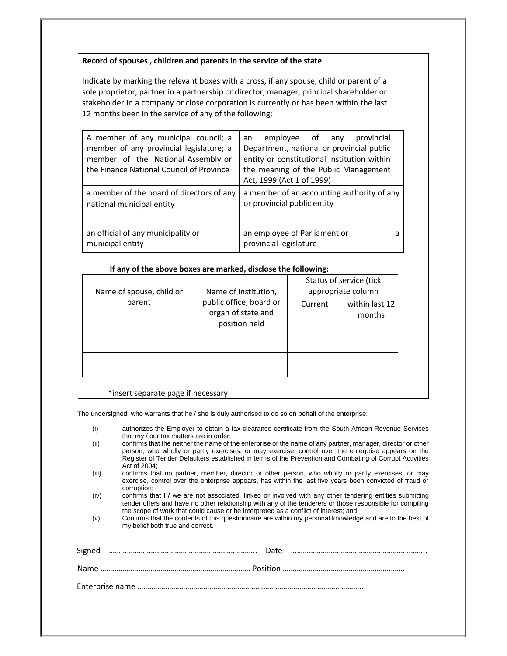#### **Record of spouses , children and parents in the service of the state**

Indicate by marking the relevant boxes with a cross, if any spouse, child or parent of a sole proprietor, partner in a partnership or director, manager, principal shareholder or stakeholder in a company or close corporation is currently or has been within the last 12 months been in the service of any of the following:

| A member of any municipal council; a<br>member of any provincial legislature; a<br>member of the National Assembly or<br>the Finance National Council of Province | employee of any<br>provincial<br>an<br>Department, national or provincial public<br>entity or constitutional institution within<br>the meaning of the Public Management<br>Act, 1999 (Act 1 of 1999) |  |
|-------------------------------------------------------------------------------------------------------------------------------------------------------------------|------------------------------------------------------------------------------------------------------------------------------------------------------------------------------------------------------|--|
| a member of the board of directors of any<br>national municipal entity                                                                                            | a member of an accounting authority of any<br>or provincial public entity                                                                                                                            |  |
| an official of any municipality or<br>municipal entity                                                                                                            | an employee of Parliament or<br>a<br>provincial legislature                                                                                                                                          |  |

#### **If any of the above boxes are marked, disclose the following:**

| Name of spouse, child or | Name of institution,<br>public office, board or<br>organ of state and<br>position held | Status of service (tick<br>appropriate column |                          |  |
|--------------------------|----------------------------------------------------------------------------------------|-----------------------------------------------|--------------------------|--|
| parent                   |                                                                                        | Current                                       | within last 12<br>months |  |
|                          |                                                                                        |                                               |                          |  |
|                          |                                                                                        |                                               |                          |  |
|                          |                                                                                        |                                               |                          |  |
|                          |                                                                                        |                                               |                          |  |

#### \*insert separate page if necessary

The undersigned, who warrants that he / she is duly authorised to do so on behalf of the enterprise:

| authorizes the Employer to obtain a tax clearance certificate from the South African Revenue Services |
|-------------------------------------------------------------------------------------------------------|
| that my / our tax matters are in order;                                                               |

- (ii) confirms that the neither the name of the enterprise or the name of any partner, manager, director or other person, who wholly or partly exercises, or may exercise, control over the enterprise appears on the Register of Tender Defaulters established in terms of the Prevention and Combating of Corrupt Activities Act of 2004;
- (iii) confirms that no partner, member, director or other person, who wholly or partly exercises, or may exercise, control over the enterprise appears, has within the last five years been convicted of fraud or corruption;
- (iv) confirms that I / we are not associated, linked or involved with any other tendering entities submitting tender offers and have no other relationship with any of the tenderers or those responsible for compiling the scope of work that could cause or be interpreted as a conflict of interest; and
- (v) Confirms that the contents of this questionnaire are within my personal knowledge and are to the best of my belief both true and correct.

| Signed |  |
|--------|--|
|        |  |
|        |  |